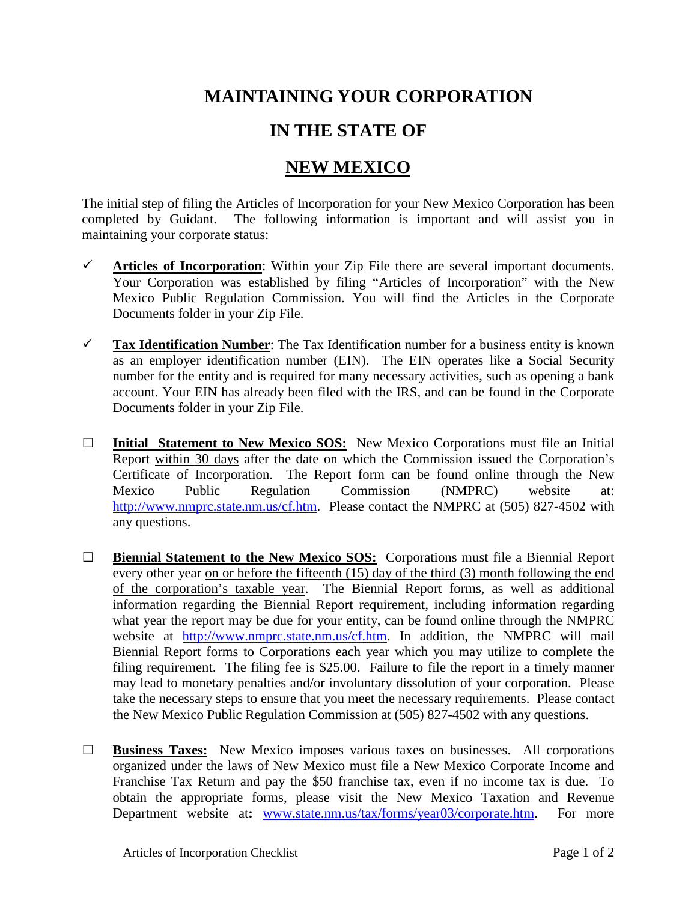## **MAINTAINING YOUR CORPORATION**

## **IN THE STATE OF**

## **NEW MEXICO**

The initial step of filing the Articles of Incorporation for your New Mexico Corporation has been completed by Guidant. The following information is important and will assist you in maintaining your corporate status:

- $\checkmark$  Articles of Incorporation: Within your Zip File there are several important documents. Your Corporation was established by filing "Articles of Incorporation" with the New Mexico Public Regulation Commission. You will find the Articles in the Corporate Documents folder in your Zip File.
- **Tax Identification Number**: The Tax Identification number for a business entity is known as an employer identification number (EIN). The EIN operates like a Social Security number for the entity and is required for many necessary activities, such as opening a bank account. Your EIN has already been filed with the IRS, and can be found in the Corporate Documents folder in your Zip File.
- **□ Initial Statement to New Mexico SOS:** New Mexico Corporations must file an Initial Report within 30 days after the date on which the Commission issued the Corporation's Certificate of Incorporation. The Report form can be found online through the New Mexico Public Regulation Commission (NMPRC) website at: [http://www.nmprc.state.nm.us/cf.htm.](http://www.nmprc.state.nm.us/cf.htm) Please contact the NMPRC at (505) 827-4502 with any questions.
- **□ Biennial Statement to the New Mexico SOS:** Corporations must file a Biennial Report every other year on or before the fifteenth (15) day of the third (3) month following the end of the corporation's taxable year. The Biennial Report forms, as well as additional information regarding the Biennial Report requirement, including information regarding what year the report may be due for your entity, can be found online through the NMPRC website at [http://www.nmprc.state.nm.us/cf.htm.](http://www.nmprc.state.nm.us/cf.htm) In addition, the NMPRC will mail Biennial Report forms to Corporations each year which you may utilize to complete the filing requirement. The filing fee is \$25.00. Failure to file the report in a timely manner may lead to monetary penalties and/or involuntary dissolution of your corporation. Please take the necessary steps to ensure that you meet the necessary requirements. Please contact the New Mexico Public Regulation Commission at (505) 827-4502 with any questions.
- **□ Business Taxes:** New Mexico imposes various taxes on businesses. All corporations organized under the laws of New Mexico must file a New Mexico Corporate Income and Franchise Tax Return and pay the \$50 franchise tax, even if no income tax is due. To obtain the appropriate forms, please visit the New Mexico Taxation and Revenue Department website at**:** [www.state.nm.us/tax/forms/year03/corporate.htm.](http://www.state.nm.us/tax/forms/year03/corporate.htm) For more